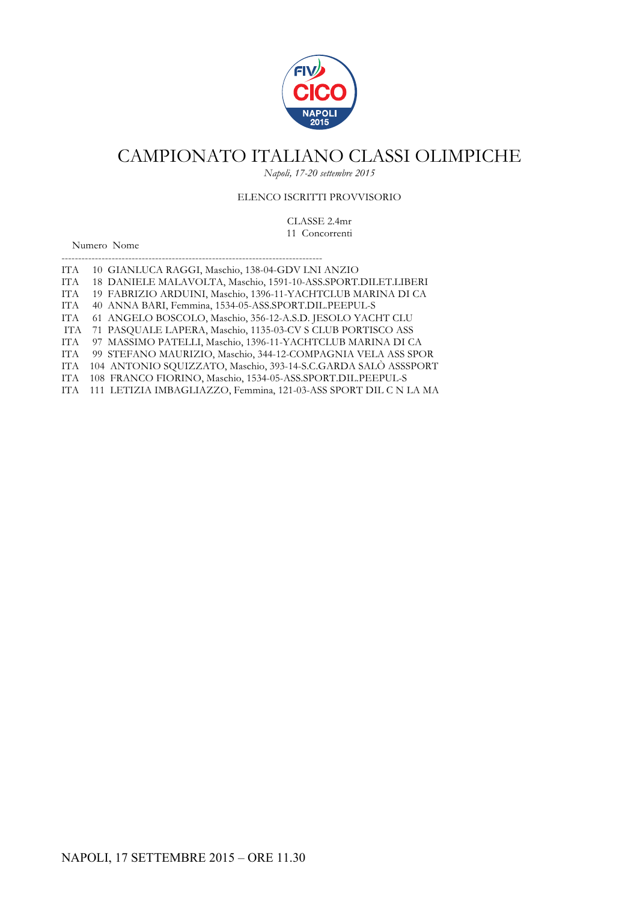

*Napoli, 17-20 settembre 2015*

### ELENCO ISCRITTI PROVVISORIO

CLASSE 2.4mr 11 Concorrenti

Numero Nome

| <b>ITA</b> | 10 GIANLUCA RAGGI, Maschio, 138-04-GDV LNI ANZIO                 |
|------------|------------------------------------------------------------------|
| <b>ITA</b> | 18 DANIELE MALAVOLTA, Maschio, 1591-10-ASS.SPORT.DILET.LIBERI    |
| <b>ITA</b> | 19 FABRIZIO ARDUINI, Maschio, 1396-11-YACHTCLUB MARINA DI CA     |
| <b>ITA</b> | 40 ANNA BARI, Femmina, 1534-05-ASS.SPORT.DIL.PEEPUL-S            |
| <b>ITA</b> | 61 ANGELO BOSCOLO, Maschio, 356-12-A.S.D. JESOLO YACHT CLU       |
| ITA        | 71 PASQUALE LAPERA, Maschio, 1135-03-CV S CLUB PORTISCO ASS      |
| <b>ITA</b> | 97 MASSIMO PATELLI, Maschio, 1396-11-YACHTCLUB MARINA DI CA      |
| <b>ITA</b> | 99 STEFANO MAURIZIO, Maschio, 344-12-COMPAGNIA VELA ASS SPOR     |
| <b>ITA</b> | 104 ANTONIO SQUIZZATO, Maschio, 393-14-S.C.GARDA SALÒ ASSSPORT   |
| <b>ITA</b> | 108 FRANCO FIORINO, Maschio, 1534-05-ASS.SPORT.DIL.PEEPUL-S      |
| IT A       | 111 LETIZIA IMBAGLIAZZO, Femmina, 121-03-ASS SPORT DIL C N LA MA |

------------------------------------------------------------------------------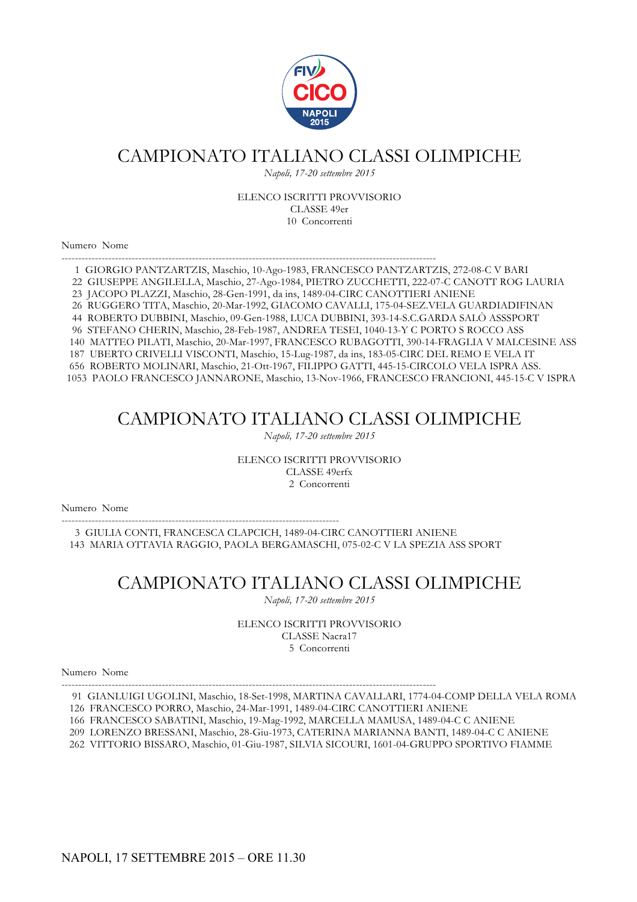

*Napoli, 17-20 settembre 2015*

#### ELENCO ISCRITTI PROVVISORIO CLASSE 49er 10 Concorrenti

Numero Nome

---------------------------------------------------------------------------------------------------------------- 1 GIORGIO PANTZARTZIS, Maschio, 10-Ago-1983, FRANCESCO PANTZARTZIS, 272-08-C V BARI 22 GIUSEPPE ANGILELLA, Maschio, 27-Ago-1984, PIETRO ZUCCHETTI, 222-07-C CANOTT ROG LAURIA 23 JACOPO PLAZZI, Maschio, 28-Gen-1991, da ins, 1489-04-CIRC CANOTTIERI ANIENE 26 RUGGERO TITA, Maschio, 20-Mar-1992, GIACOMO CAVALLI, 175-04-SEZ.VELA GUARDIADIFINAN 44 ROBERTO DUBBINI, Maschio, 09-Gen-1988, LUCA DUBBINI, 393-14-S.C.GARDA SALÒ ASSSPORT 96 STEFANO CHERIN, Maschio, 28-Feb-1987, ANDREA TESEI, 1040-13-Y C PORTO S ROCCO ASS 140 MATTEO PILATI, Maschio, 20-Mar-1997, FRANCESCO RUBAGOTTI, 390-14-FRAGLIA V MALCESINE ASS 187 UBERTO CRIVELLI VISCONTI, Maschio, 15-Lug-1987, da ins, 183-05-CIRC DEL REMO E VELA IT 656 ROBERTO MOLINARI, Maschio, 21-Ott-1967, FILIPPO GATTI, 445-15-CIRCOLO VELA ISPRA ASS. 1053 PAOLO FRANCESCO JANNARONE, Maschio, 13-Nov-1966, FRANCESCO FRANCIONI, 445-15-C V ISPRA

### CAMPIONATO ITALIANO CLASSI OLIMPICHE

*Napoli, 17-20 settembre 2015*

ELENCO ISCRITTI PROVVISORIO CLASSE 49erfx 2 Concorrenti

Numero Nome

----------------------------------------------------------------------------------- 3 GIULIA CONTI, FRANCESCA CLAPCICH, 1489-04-CIRC CANOTTIERI ANIENE 143 MARIA OTTAVIA RAGGIO, PAOLA BERGAMASCHI, 075-02-C V LA SPEZIA ASS SPORT

## CAMPIONATO ITALIANO CLASSI OLIMPICHE

*Napoli, 17-20 settembre 2015*

ELENCO ISCRITTI PROVVISORIO CLASSE Nacra17 5 Concorrenti

Numero Nome

---------------------------------------------------------------------------------------------------------------- 91 GIANLUIGI UGOLINI, Maschio, 18-Set-1998, MARTINA CAVALLARI, 1774-04-COMP DELLA VELA ROMA

126 FRANCESCO PORRO, Maschio, 24-Mar-1991, 1489-04-CIRC CANOTTIERI ANIENE

- 166 FRANCESCO SABATINI, Maschio, 19-Mag-1992, MARCELLA MAMUSA, 1489-04-C C ANIENE
- 209 LORENZO BRESSANI, Maschio, 28-Giu-1973, CATERINA MARIANNA BANTI, 1489-04-C C ANIENE

262 VITTORIO BISSARO, Maschio, 01-Giu-1987, SILVIA SICOURI, 1601-04-GRUPPO SPORTIVO FIAMME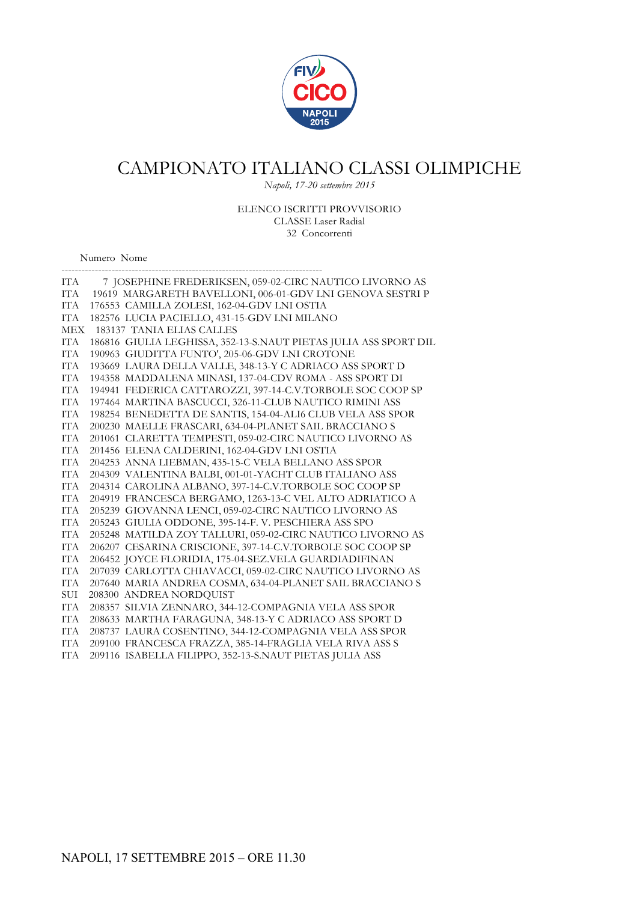

*Napoli, 17-20 settembre 2015*

ELENCO ISCRITTI PROVVISORIO CLASSE Laser Radial 32 Concorrenti

Numero Nome

| ITA        | 7 JOSEPHINE FREDERIKSEN, 059-02-CIRC NAUTICO LIVORNO AS          |
|------------|------------------------------------------------------------------|
| <b>ITA</b> | 19619 MARGARETH BAVELLONI, 006-01-GDV LNI GENOVA SESTRI P        |
| <b>ITA</b> | 176553 CAMILLA ZOLESI, 162-04-GDV LNI OSTIA                      |
| ITA        | 182576 LUCIA PACIELLO, 431-15-GDV LNI MILANO                     |
| <b>MEX</b> | 183137 TANIA ELIAS CALLES                                        |
| <b>ITA</b> | 186816 GIULIA LEGHISSA, 352-13-S.NAUT PIETAS JULIA ASS SPORT DIL |
| <b>ITA</b> | 190963 GIUDITTA FUNTO', 205-06-GDV LNI CROTONE                   |
| <b>ITA</b> | 193669 LAURA DELLA VALLE, 348-13-Y C ADRIACO ASS SPORT D         |
| <b>ITA</b> | 194358 MADDALENA MINASI, 137-04-CDV ROMA - ASS SPORT DI          |
| <b>ITA</b> | 194941 FEDERICA CATTAROZZI, 397-14-C.V.TORBOLE SOC COOP SP       |
| <b>ITA</b> | 197464 MARTINA BASCUCCI, 326-11-CLUB NAUTICO RIMINI ASS          |
| <b>ITA</b> | 198254 BENEDETTA DE SANTIS, 154-04-ALI6 CLUB VELA ASS SPOR       |
| <b>ITA</b> | 200230 MAELLE FRASCARI, 634-04-PLANET SAIL BRACCIANO S           |
| <b>ITA</b> | 201061 CLARETTA TEMPESTI, 059-02-CIRC NAUTICO LIVORNO AS         |
| <b>ITA</b> | 201456 ELENA CALDERINI, 162-04-GDV LNI OSTIA                     |
| <b>ITA</b> | 204253 ANNA LIEBMAN, 435-15-C VELA BELLANO ASS SPOR              |
| <b>ITA</b> | 204309 VALENTINA BALBI, 001-01-YACHT CLUB ITALIANO ASS           |
| <b>ITA</b> | 204314 CAROLINA ALBANO, 397-14-C.V.TORBOLE SOC COOP SP           |
| <b>ITA</b> | 204919 FRANCESCA BERGAMO, 1263-13-C VEL ALTO ADRIATICO A         |
| <b>ITA</b> | 205239 GIOVANNA LENCI, 059-02-CIRC NAUTICO LIVORNO AS            |
| <b>ITA</b> | 205243 GIULIA ODDONE, 395-14-F. V. PESCHIERA ASS SPO             |
| <b>ITA</b> | 205248 MATILDA ZOY TALLURI, 059-02-CIRC NAUTICO LIVORNO AS       |
| ITA        | 206207 CESARINA CRISCIONE, 397-14-C.V.TORBOLE SOC COOP SP        |
| <b>ITA</b> | 206452 JOYCE FLORIDIA, 175-04-SEZ.VELA GUARDIADIFINAN            |
| <b>ITA</b> | 207039 CARLOTTA CHIAVACCI, 059-02-CIRC NAUTICO LIVORNO AS        |
| ITA        | 207640 MARIA ANDREA COSMA, 634-04-PLANET SAIL BRACCIANO S        |
| SUI        | 208300 ANDREA NORDQUIST                                          |
| <b>ITA</b> | 208357 SILVIA ZENNARO, 344-12-COMPAGNIA VELA ASS SPOR            |
| <b>ITA</b> | 208633 MARTHA FARAGUNA, 348-13-Y C ADRIACO ASS SPORT D           |
| <b>ITA</b> | 208737 LAURA COSENTINO, 344-12-COMPAGNIA VELA ASS SPOR           |
| <b>ITA</b> | 209100 FRANCESCA FRAZZA, 385-14-FRAGLIA VELA RIVA ASS S          |
| <b>ITA</b> | 209116 ISABELLA FILIPPO, 352-13-S.NAUT PIETAS JULIA ASS          |
|            |                                                                  |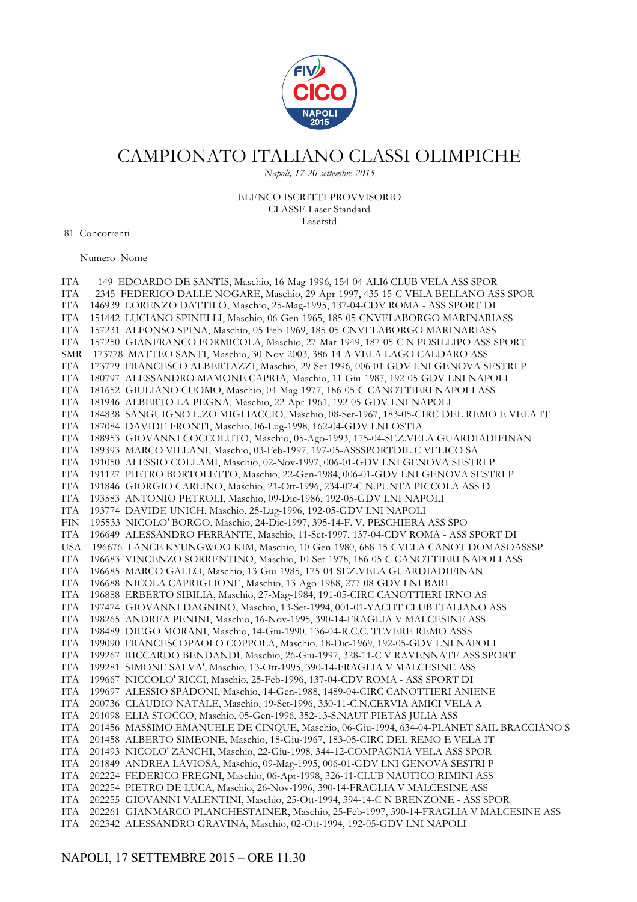

*Napoli, 17-20 settembre 2015*

### ELENCO ISCRITTI PROVVISORIO CLASSE Laser Standard

Laserstd

81 Concorrenti

Numero Nome

| ITA               | 149 EDOARDO DE SANTIS, Maschio, 16-Mag-1996, 154-04-ALI6 CLUB VELA ASS SPOR                                                                                             |
|-------------------|-------------------------------------------------------------------------------------------------------------------------------------------------------------------------|
| ITA               | 2345 FEDERICO DALLE NOGARE, Maschio, 29-Apr-1997, 435-15-C VELA BELLANO ASS SPOR                                                                                        |
| ITA               | 146939 LORENZO DATTILO, Maschio, 25-Mag-1995, 137-04-CDV ROMA - ASS SPORT DI                                                                                            |
| ITA               | 151442 LUCIANO SPINELLI, Maschio, 06-Gen-1965, 185-05-CNVELABORGO MARINARIASS                                                                                           |
| ITA               | 157231 ALFONSO SPINA, Maschio, 05-Feb-1969, 185-05-CNVELABORGO MARINARIASS                                                                                              |
| IТА               | 157250 GIANFRANCO FORMICOLA, Maschio, 27-Mar-1949, 187-05-C N POSILLIPO ASS SPORT                                                                                       |
| <b>SMR</b>        | 173778 MATTEO SANTI, Maschio, 30-Nov-2003, 386-14-A VELA LAGO CALDARO ASS                                                                                               |
| IТА               | 173779 FRANCESCO ALBERTAZZI, Maschio, 29-Set-1996, 006-01-GDV LNI GENOVA SESTRI P                                                                                       |
| <b>ITA</b>        | 180797 ALESSANDRO MAMONE CAPRIA, Maschio, 11-Giu-1987, 192-05-GDV LNI NAPOLI                                                                                            |
| ITA               | 181652 GIULIANO CUOMO, Maschio, 04-Mag-1977, 186-05-C CANOTTIERI NAPOLI ASS                                                                                             |
| ITA               | 181946 ALBERTO LA PEGNA, Maschio, 22-Apr-1961, 192-05-GDV LNI NAPOLI                                                                                                    |
| ITA               | 184838 SANGUIGNO L.ZO MIGLIACCIO, Maschio, 08-Set-1967, 183-05-CIRC DEL REMO E VELA IT                                                                                  |
| <b>ITA</b>        | 187084 DAVIDE FRONTI, Maschio, 06-Lug-1998, 162-04-GDV LNI OSTIA                                                                                                        |
| <b>ITA</b>        | 188953 GIOVANNI COCCOLUTO, Maschio, 05-Ago-1993, 175-04-SEZ.VELA GUARDIADIFINAN                                                                                         |
| <b>ITA</b>        | 189393 MARCO VILLANI, Maschio, 03-Feb-1997, 197-05-ASSSPORTDIL C VELICO SA                                                                                              |
| <b>ITA</b>        | 191050 ALESSIO COLLAMI, Maschio, 02-Nov-1997, 006-01-GDV LNI GENOVA SESTRI P                                                                                            |
| <b>ITA</b>        | 191127 PIETRO BORTOLETTO, Maschio, 22-Gen-1984, 006-01-GDV LNI GENOVA SESTRI P                                                                                          |
| IТА               | 191846 GIORGIO CARLINO, Maschio, 21-Ott-1996, 234-07-C.N.PUNTA PICCOLA ASS D                                                                                            |
| <b>ITA</b>        | 193583 ANTONIO PETROLI, Maschio, 09-Dic-1986, 192-05-GDV LNI NAPOLI                                                                                                     |
| ITA               | 193774 DAVIDE UNICH, Maschio, 25-Lug-1996, 192-05-GDV LNI NAPOLI                                                                                                        |
| FIN               | 195533 NICOLO' BORGO, Maschio, 24-Dic-1997, 395-14-F. V. PESCHIERA ASS SPO                                                                                              |
| IТА               | 196649 ALESSANDRO FERRANTE, Maschio, 11-Set-1997, 137-04-CDV ROMA - ASS SPORT DI                                                                                        |
| <b>USA</b>        | 196676 LANCE KYUNGWOO KIM, Maschio, 10-Gen-1980, 688-15-CVELA CANOT DOMASOASSSP                                                                                         |
| IТА               | 196683 VINCENZO SORRENTINO, Maschio, 10-Set-1978, 186-05-C CANOTTIERI NAPOLI ASS                                                                                        |
| <b>ITA</b>        | 196685 MARCO GALLO, Maschio, 13-Giu-1985, 175-04-SEZ.VELA GUARDIADIFINAN                                                                                                |
| IТА               | 196688 NICOLA CAPRIGLIONE, Maschio, 13-Ago-1988, 277-08-GDV LNI BARI                                                                                                    |
| ITA               | 196888 ERBERTO SIBILIA, Maschio, 27-Mag-1984, 191-05-CIRC CANOTTIERI IRNO AS                                                                                            |
| ITA               | 197474 GIOVANNI DAGNINO, Maschio, 13-Set-1994, 001-01-YACHT CLUB ITALIANO ASS                                                                                           |
| <b>ITA</b>        | 198265 ANDREA PENINI, Maschio, 16-Nov-1995, 390-14-FRAGLIA V MALCESINE ASS                                                                                              |
| <b>ITA</b>        | 198489 DIEGO MORANI, Maschio, 14-Giu-1990, 136-04-R.C.C. TEVERE REMO ASSS                                                                                               |
| <b>ITA</b>        | 199090 FRANCESCOPAOLO COPPOLA, Maschio, 18-Dic-1969, 192-05-GDV LNI NAPOLI                                                                                              |
| <b>ITA</b>        | 199267 RICCARDO BENDANDI, Maschio, 26-Giu-1997, 328-11-C V RAVENNATE ASS SPORT                                                                                          |
| <b>ITA</b>        | 199281 SIMONE SALVA', Maschio, 13-Ott-1995, 390-14-FRAGLIA V MALCESINE ASS                                                                                              |
| IТА               | 199667 NICCOLO' RICCI, Maschio, 25-Feb-1996, 137-04-CDV ROMA - ASS SPORT DI                                                                                             |
| ITA               | 199697 ALESSIO SPADONI, Maschio, 14-Gen-1988, 1489-04-CIRC CANOTTIERI ANIENE                                                                                            |
| ITA               | 200736 CLAUDIO NATALE, Maschio, 19-Set-1996, 330-11-C.N.CERVIA AMICI VELA A                                                                                             |
| IТА               | 201098 ELIA STOCCO, Maschio, 05-Gen-1996, 352-13-S.NAUT PIETAS JULIA ASS                                                                                                |
| ITA<br><b>ITA</b> | 201456 MASSIMO EMANUELE DE CINQUE, Maschio, 06-Giu-1994, 634-04-PLANET SAIL BRACCIANO S<br>201458 ALBERTO SIMEONE, Maschio, 18-Giu-1967, 183-05-CIRC DEL REMO E VELA IT |
| <b>ITA</b>        | 201493 NICOLO' ZANCHI, Maschio, 22-Giu-1998, 344-12-COMPAGNIA VELA ASS SPOR                                                                                             |
| IТА               | 201849 ANDREA LAVIOSA, Maschio, 09-Mag-1995, 006-01-GDV LNI GENOVA SESTRI P                                                                                             |
| <b>ITA</b>        | 202224 FEDERICO FREGNI, Maschio, 06-Apr-1998, 326-11-CLUB NAUTICO RIMINI ASS                                                                                            |
| <b>ITA</b>        | 202254 PIETRO DE LUCA, Maschio, 26-Nov-1996, 390-14-FRAGLIA V MALCESINE ASS                                                                                             |
| <b>ITA</b>        | 202255 GIOVANNI VALENTINI, Maschio, 25-Ott-1994, 394-14-C N BRENZONE - ASS SPOR                                                                                         |
| <b>ITA</b>        | 202261 GIANMARCO PLANCHESTAINER, Maschio, 25-Feb-1997, 390-14-FRAGLIA V MALCESINE ASS                                                                                   |
| ITA               | 202342 ALESSANDRO GRAVINA, Maschio, 02-Ott-1994, 192-05-GDV LNI NAPOLI                                                                                                  |
|                   |                                                                                                                                                                         |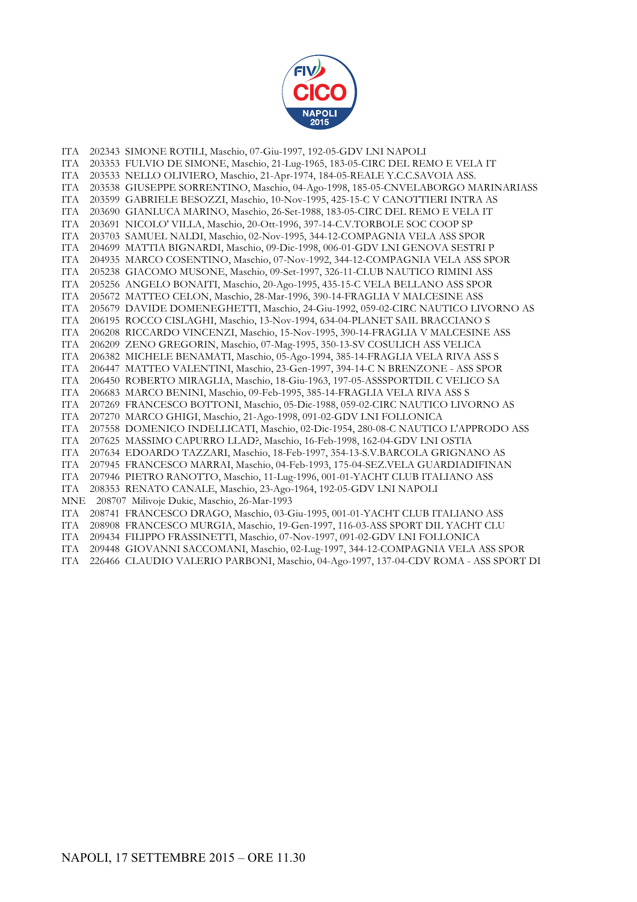

ITA 202343 SIMONE ROTILI, Maschio, 07-Giu-1997, 192-05-GDV LNI NAPOLI ITA 203353 FULVIO DE SIMONE, Maschio, 21-Lug-1965, 183-05-CIRC DEL REMO E VELA IT ITA 203533 NELLO OLIVIERO, Maschio, 21-Apr-1974, 184-05-REALE Y.C.C.SAVOIA ASS. ITA 203538 GIUSEPPE SORRENTINO, Maschio, 04-Ago-1998, 185-05-CNVELABORGO MARINARIASS ITA 203599 GABRIELE BESOZZI, Maschio, 10-Nov-1995, 425-15-C V CANOTTIERI INTRA AS ITA 203690 GIANLUCA MARINO, Maschio, 26-Set-1988, 183-05-CIRC DEL REMO E VELA IT ITA 203691 NICOLO' VILLA, Maschio, 20-Ott-1996, 397-14-C.V.TORBOLE SOC COOP SP ITA 203703 SAMUEL NALDI, Maschio, 02-Nov-1995, 344-12-COMPAGNIA VELA ASS SPOR ITA 204699 MATTIA BIGNARDI, Maschio, 09-Dic-1998, 006-01-GDV LNI GENOVA SESTRI P ITA 204935 MARCO COSENTINO, Maschio, 07-Nov-1992, 344-12-COMPAGNIA VELA ASS SPOR ITA 205238 GIACOMO MUSONE, Maschio, 09-Set-1997, 326-11-CLUB NAUTICO RIMINI ASS ITA 205256 ANGELO BONAITI, Maschio, 20-Ago-1995, 435-15-C VELA BELLANO ASS SPOR ITA 205672 MATTEO CELON, Maschio, 28-Mar-1996, 390-14-FRAGLIA V MALCESINE ASS ITA 205679 DAVIDE DOMENEGHETTI, Maschio, 24-Giu-1992, 059-02-CIRC NAUTICO LIVORNO AS ITA 206195 ROCCO CISLAGHI, Maschio, 13-Nov-1994, 634-04-PLANET SAIL BRACCIANO S ITA 206208 RICCARDO VINCENZI, Maschio, 15-Nov-1995, 390-14-FRAGLIA V MALCESINE ASS ITA 206209 ZENO GREGORIN, Maschio, 07-Mag-1995, 350-13-SV COSULICH ASS VELICA ITA 206382 MICHELE BENAMATI, Maschio, 05-Ago-1994, 385-14-FRAGLIA VELA RIVA ASS S ITA 206447 MATTEO VALENTINI, Maschio, 23-Gen-1997, 394-14-C N BRENZONE - ASS SPOR ITA 206450 ROBERTO MIRAGLIA, Maschio, 18-Giu-1963, 197-05-ASSSPORTDIL C VELICO SA ITA 206683 MARCO BENINI, Maschio, 09-Feb-1995, 385-14-FRAGLIA VELA RIVA ASS S ITA 207269 FRANCESCO BOTTONI, Maschio, 05-Dic-1988, 059-02-CIRC NAUTICO LIVORNO AS ITA 207270 MARCO GHIGI, Maschio, 21-Ago-1998, 091-02-GDV LNI FOLLONICA ITA 207558 DOMENICO INDELLICATI, Maschio, 02-Dic-1954, 280-08-C NAUTICO L'APPRODO ASS ITA 207625 MASSIMO CAPURRO LLAD?, Maschio, 16-Feb-1998, 162-04-GDV LNI OSTIA ITA 207634 EDOARDO TAZZARI, Maschio, 18-Feb-1997, 354-13-S.V.BARCOLA GRIGNANO AS ITA 207945 FRANCESCO MARRAI, Maschio, 04-Feb-1993, 175-04-SEZ.VELA GUARDIADIFINAN ITA 207946 PIETRO RANOTTO, Maschio, 11-Lug-1996, 001-01-YACHT CLUB ITALIANO ASS ITA 208353 RENATO CANALE, Maschio, 23-Ago-1964, 192-05-GDV LNI NAPOLI MNE 208707 Milivoje Dukic, Maschio, 26-Mar-1993 ITA 208741 FRANCESCO DRAGO, Maschio, 03-Giu-1995, 001-01-YACHT CLUB ITALIANO ASS ITA 208908 FRANCESCO MURGIA, Maschio, 19-Gen-1997, 116-03-ASS SPORT DIL YACHT CLU ITA 209434 FILIPPO FRASSINETTI, Maschio, 07-Nov-1997, 091-02-GDV LNI FOLLONICA ITA 209448 GIOVANNI SACCOMANI, Maschio, 02-Lug-1997, 344-12-COMPAGNIA VELA ASS SPOR ITA 226466 CLAUDIO VALERIO PARBONI, Maschio, 04-Ago-1997, 137-04-CDV ROMA - ASS SPORT DI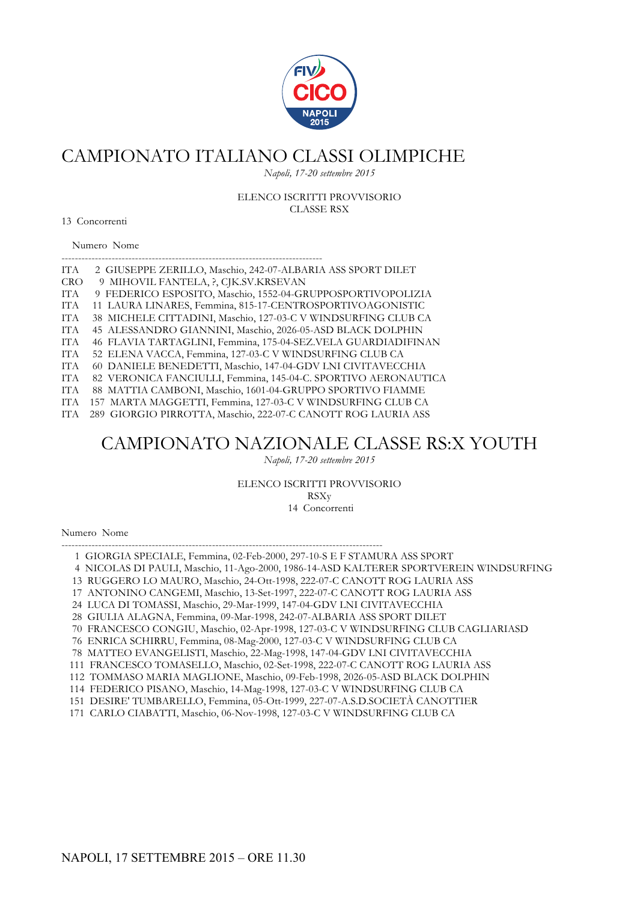

*Napoli, 17-20 settembre 2015*

ELENCO ISCRITTI PROVVISORIO CLASSE RSX

13 Concorrenti

Numero Nome

| ITA        | 2 GIUSEPPE ZERILLO, Maschio, 242-07-ALBARIA ASS SPORT DILET    |
|------------|----------------------------------------------------------------|
| <b>CRO</b> | 9 MIHOVIL FANTELA, ?, CJK.SV.KRSEVAN                           |
| ITA.       | 9 FEDERICO ESPOSITO, Maschio, 1552-04-GRUPPOSPORTIVOPOLIZIA    |
| ITA.       | 11 LAURA LINARES, Femmina, 815-17-CENTROSPORTIVOAGONISTIC      |
| ITA.       | 38 MICHELE CITTADINI, Maschio, 127-03-C V WINDSURFING CLUB CA  |
| <b>ITA</b> | 45 ALESSANDRO GIANNINI, Maschio, 2026-05-ASD BLACK DOLPHIN     |
| ITA.       | 46 FLAVIA TARTAGLINI, Femmina, 175-04-SEZ.VELA GUARDIADIFINAN  |
| <b>ITA</b> | 52 ELENA VACCA, Femmina, 127-03-C V WINDSURFING CLUB CA        |
| IT A       | 60 DANIELE BENEDETTI, Maschio, 147-04-GDV LNI CIVITAVECCHIA    |
| <b>ITA</b> | 82 VERONICA FANCIULLI, Femmina, 145-04-C. SPORTIVO AERONAUTICA |
| ITA.       | 88 MATTIA CAMBONI, Maschio, 1601-04-GRUPPO SPORTIVO FIAMME     |
| ITA        | 157 MARTA MAGGETTI, Femmina, 127-03-C V WINDSURFING CLUB CA    |
| ITA        | 289 GIORGIO PIRROTTA, Maschio, 222-07-C CANOTT ROG LAURIA ASS  |
|            |                                                                |
|            | CAMPIONATO NAZIONALE CLASSE RS:X YOUTH                         |
|            |                                                                |

*Napoli, 17-20 settembre 2015*

ELENCO ISCRITTI PROVVISORIO

RSXy

14 Concorrenti

Numero Nome

------------------------------------------------------------------------------------------------ 1 GIORGIA SPECIALE, Femmina, 02-Feb-2000, 297-10-S E F STAMURA ASS SPORT

4 NICOLAS DI PAULI, Maschio, 11-Ago-2000, 1986-14-ASD KALTERER SPORTVEREIN WINDSURFING

13 RUGGERO LO MAURO, Maschio, 24-Ott-1998, 222-07-C CANOTT ROG LAURIA ASS

17 ANTONINO CANGEMI, Maschio, 13-Set-1997, 222-07-C CANOTT ROG LAURIA ASS

24 LUCA DI TOMASSI, Maschio, 29-Mar-1999, 147-04-GDV LNI CIVITAVECCHIA

28 GIULIA ALAGNA, Femmina, 09-Mar-1998, 242-07-ALBARIA ASS SPORT DILET

70 FRANCESCO CONGIU, Maschio, 02-Apr-1998, 127-03-C V WINDSURFING CLUB CAGLIARIASD

76 ENRICA SCHIRRU, Femmina, 08-Mag-2000, 127-03-C V WINDSURFING CLUB CA

78 MATTEO EVANGELISTI, Maschio, 22-Mag-1998, 147-04-GDV LNI CIVITAVECCHIA

111 FRANCESCO TOMASELLO, Maschio, 02-Set-1998, 222-07-C CANOTT ROG LAURIA ASS

112 TOMMASO MARIA MAGLIONE, Maschio, 09-Feb-1998, 2026-05-ASD BLACK DOLPHIN

114 FEDERICO PISANO, Maschio, 14-Mag-1998, 127-03-C V WINDSURFING CLUB CA

151 DESIRE' TUMBARELLO, Femmina, 05-Ott-1999, 227-07-A.S.D.SOCIETÀ CANOTTIER

171 CARLO CIABATTI, Maschio, 06-Nov-1998, 127-03-C V WINDSURFING CLUB CA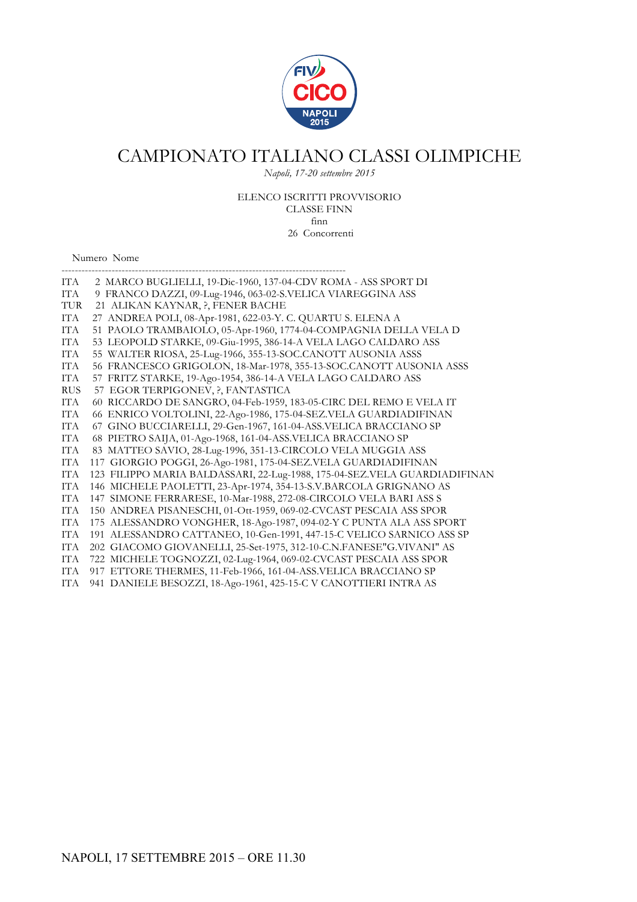

*Napoli, 17-20 settembre 2015*

#### ELENCO ISCRITTI PROVVISORIO CLASSE FINN

finn 26 Concorrenti

Numero Nome

| ITA        | 2 MARCO BUGLIELLI, 19-Dic-1960, 137-04-CDV ROMA - ASS SPORT DI            |
|------------|---------------------------------------------------------------------------|
| ITA        | 9 FRANCO DAZZI, 09-Lug-1946, 063-02-S.VELICA VIAREGGINA ASS               |
| <b>TUR</b> | 21 ALIKAN KAYNAR, ?, FENER BACHE                                          |
| ITA        | 27 ANDREA POLI, 08-Apr-1981, 622-03-Y. C. QUARTU S. ELENA A               |
| <b>ITA</b> | 51 PAOLO TRAMBAIOLO, 05-Apr-1960, 1774-04-COMPAGNIA DELLA VELA D          |
| <b>ITA</b> | 53 LEOPOLD STARKE, 09-Giu-1995, 386-14-A VELA LAGO CALDARO ASS            |
| <b>ITA</b> | 55 WALTER RIOSA, 25-Lug-1966, 355-13-SOC.CANOTT AUSONIA ASSS              |
| <b>ITA</b> | 56 FRANCESCO GRIGOLON, 18-Mar-1978, 355-13-SOC.CANOTT AUSONIA ASSS        |
| <b>ITA</b> | 57 FRITZ STARKE, 19-Ago-1954, 386-14-A VELA LAGO CALDARO ASS              |
| <b>RUS</b> | 57 EGOR TERPIGONEV, ?, FANTASTICA                                         |
| ITA        | 60 RICCARDO DE SANGRO, 04-Feb-1959, 183-05-CIRC DEL REMO E VELA IT        |
| <b>ITA</b> | 66 ENRICO VOLTOLINI, 22-Ago-1986, 175-04-SEZ.VELA GUARDIADIFINAN          |
| <b>ITA</b> | 67 GINO BUCCIARELLI, 29-Gen-1967, 161-04-ASS.VELICA BRACCIANO SP          |
| ITA        | 68 PIETRO SAIJA, 01-Ago-1968, 161-04-ASS.VELICA BRACCIANO SP              |
| ITA        | 83 MATTEO SAVIO, 28-Lug-1996, 351-13-CIRCOLO VELA MUGGIA ASS              |
| ITA        | 117 GIORGIO POGGI, 26-Ago-1981, 175-04-SEZ.VELA GUARDIADIFINAN            |
| <b>ITA</b> | 123 FILIPPO MARIA BALDASSARI, 22-Lug-1988, 175-04-SEZ.VELA GUARDIADIFINAN |
| <b>ITA</b> | 146 MICHELE PAOLETTI, 23-Apr-1974, 354-13-S.V.BARCOLA GRIGNANO AS         |
| <b>ITA</b> | 147 SIMONE FERRARESE, 10-Mar-1988, 272-08-CIRCOLO VELA BARI ASS S         |
| ITA        | 150 ANDREA PISANESCHI, 01-Ott-1959, 069-02-CVCAST PESCAIA ASS SPOR        |
| <b>ITA</b> | 175 ALESSANDRO VONGHER, 18-Ago-1987, 094-02-Y C PUNTA ALA ASS SPORT       |
| <b>ITA</b> | 191 ALESSANDRO CATTANEO, 10-Gen-1991, 447-15-C VELICO SARNICO ASS SP      |
| <b>ITA</b> | 202 GIACOMO GIOVANELLI, 25-Set-1975, 312-10-C.N.FANESE"G.VIVANI" AS       |
| ITA        | 722 MICHELE TOGNOZZI, 02-Lug-1964, 069-02-CVCAST PESCAIA ASS SPOR         |
| <b>ITA</b> | 917 ETTORE THERMES, 11-Feb-1966, 161-04-ASS.VELICA BRACCIANO SP           |
| ITA        | 941 DANIELE BESOZZI, 18-Ago-1961, 425-15-C V CANOTTIERI INTRA AS          |